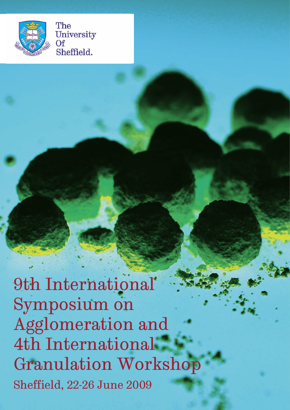

The University  $\Omega$ f Sheffield.

Sheffield, 22-26 June 2009 9th International Symposium on Agglomeration and 4th International Granulation Workshop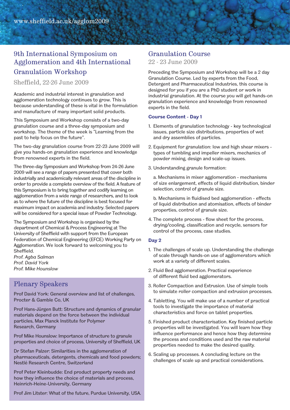### 9th International Symposium on Agglomeration and 4th International Granulation Workshop

Sheffield, 22-26 June 2009

Academic and industrial interest in granulation and agglomeration technology continues to grow. This is because understanding of these is vital in the formulation and manufacture of many important solid products.

This Symposium and Workshop consists of a two-day granulation course and a three-day symposium and workshop. The theme of the week is "Learning from the past to help focus on the future".

The two-day granulation course from 22-23 June 2009 will give you hands-on granulation experience and knowledge from renowned experts in the field.

The three-day Symposium and Workshop from 24-26 June 2009 will see a range of papers presented that cover both industrially and academically relevant areas of the discipline in order to provide a complete overview of the field. A feature of this Symposium is to bring together and codify learning on agglomeration from a wide range of researchers, and to look as to where the future of the discipline is best focused for maximum impact on academia and industry. Selected papers will be considered for a special issue of Powder Technology.

The Symposium and Workshop is organised by the department of Chemical & Process Engineering at The University of Sheffield with support from the European Federation of Chemical Engineering (EFCE) Working Party on Agglomeration. We look forward to welcoming you to Sheffield.

*Prof. Agba Salman Prof. David York Prof. Mike Hounslow*

### Plenary Speakers

Prof David York: General overview and list of challenges, Procter & Gamble Co, UK

Prof Hans-Jürgen Butt: Structure and dynamics of granular materials depend on the force between the individual particles, Max Planck Institute for Polymer Research, Germany

Prof Mike Hounslow: Importance of structure to granule properties and choice of process, University of Sheffield, UK

Dr Stefan Palzer: Similarities in the agglomeration of pharmaceuticals, detergents, chemicals and food powders; Nestlé Research Centre, Switzerland

Prof Peter Kleinbudde: End product property needs and how they influence the choice of materials and process, Heinrich-Heine-University, Germany

Prof Jim Litster: What of the future, Purdue University, USA.

#### Granulation Course

22 - 23 June 2009

Preceding the Symposium and Workshop will be a 2 day Granulation Course. Led by experts from the Food, Detergent and Pharmaceutical Industries, this course is designed for you if you are a PhD student or work in industrial granulation. At the course you will get hands-on granulation experience and knowledge from renowned experts in the field.

#### **Course Content - Day 1**

- 1. Elements of granulation technology key technological issues, particle size distributions, properties of wet and dry assemblies of particles.
- 2. Equipment for granulation: low and high shear mixers types of tumbling and impeller mixers, mechanics of powder mixing, design and scale-up issues.
- 3. Understanding granule formation:

a. Mechanisms in mixer agglomeration - mechanisms of size enlargement, effects of liquid distribution, binder selection, control of granule size.

b. Mechanisms in fluidised bed agglomeration - effects of liquid distribution and atomisation, effects of binder properties, control of granule size.

4. The complete process - flow sheet for the process, drying/cooling, classification and recycle, sensors for control of the process, case studies.

#### **Day 2**

- 1. The challenges of scale up. Understanding the challenge of scale through hands-on use of agglomerators which work at a variety of different scales.
- 2. Fluid Bed agglomeration. Practical experience of different fluid bed agglomerators.
- 3. Roller Compaction and Extrusion. Use of simple tools to simulate roller compaction and extrusion processes.
- 4. Tabletting. You will make use of a number of practical tools to investigate the importance of material characteristics and force on tablet properties.
- 5. Finished product characterisation. Key finished particle properties will be investigated. You will learn how they influence performance and hence how they determine the process and conditions used and the raw material properties needed to make the desired quality.
- 6. Scaling up processes. A concluding lecture on the challenges of scale up and practical considerations.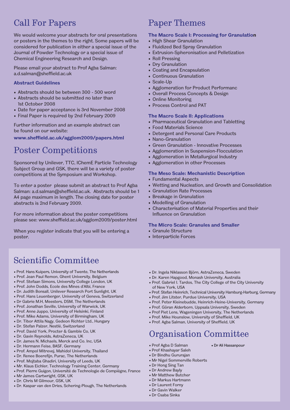## Call For Papers

We would welcome your abstracts for oral presentations or posters in the themes to the right. Some papers will be considered for publication in either a special issue of the Journal of Powder Technology or a special issue of Chemical Engineering Research and Design.

Please email your abstract to Prof Agba Salman: a.d.salman@sheffield.ac.uk

#### **Abstract Guidelines**

- Abstracts should be between 300 500 word
- Abstracts should be submitted no later than 1st October 2008
- Date for paper acceptance is 3rd November 2008
- Final Paper is required by 2nd February 2009

Further information and an example abstract can be found on our website:

**www.sheffield.ac.uk/agglom2009/papers.html**

# Poster Competitions

Sponsored by Unilever, TTC, IChemE Particle Technology Subject Group and GSK, there will be a variety of poster competitions at the Symposium and Workshop.

To enter a poster please submit an abstract to Prof Agba Salman: a.d.salman@sheffield.ac.uk. Abstracts should be 1 A4 page maximum in length. The closing date for poster abstracts is 2nd February 2009.

For more information about the poster competitions please see: www.sheffield.ac.uk/agglom2009/poster.html

When you register indicate that you will be entering a poster.

# Paper Themes

#### **The Macro Scale I: Processing for Granulation**

- High Shear Granulation
- Fluidized Bed Spray Granulation
- Extrusion-Spheronisation and Pelletization
- Roll Pressing
- Dry Granulation
- Coating and Encapsulation
- Continuous Granulation
- Scale-Up
- Agglomeration for Product Performanc
- Overall Process Concepts & Design
- Online Monitoring
- Process Control and PAT

#### **The Macro Scale II: Applications**

- Pharmaceutical Granulation and Tabletting
- Food Materials Science
- Detergent and Personal Care Products
- Nano-Granulation
- Green Granulation Innovative Processes
- Agglomeration in Suspension-Flocculation
- Agglomeration in Metallurgical Industry
- Agglomeration in other Processes

#### **The Meso Scale: Mechanistic Description**

- Fundamental Aspects
- Wetting and Nucleation, and Growth and Consolidation
- Granulation Rate Processes
- Breakage in Granulation
- Modelling of Granulation
- Characterisation of Material Properties and their Influence on Granulation

#### **The Micro Scale: Granules and Smaller**

- Granule Structure
- Interparticle Forces

# Scientific Committee

- Prof. Hans Kuipers, University of Twente, The Netherlands
- Prof. Jean Paul Remon, Ghent University, Belgium
- Prof. Stefaan Simons, University College London, UK
- Prof. John Dodds, Ecole des Mines d'Albi, France
- Dr. Judith Bonsall, Unilever Research Port Sunlight, UK
- Prof. Hans Leuenberger, University of Geneva, Switzerland • Dr Gabrie M.H, Meesters, DSM, The Netherlands
- Prof. Jonathan Seville, University of Warwick, UK
- Prof. Anne Juppo, University of Helsinki, Finland
- Prof. Mike Adams, University of Birmingham, UK
- Dr. Tibor Attila Nagy, Gedeon Richter Ltd., Hungary
- Dr. Stefan Palzer, Nestlé, Switzerland
- Prof. David York, Procter & Gamble Co, UK
- Dr. Gavin Reynolds, AstraZeneca, UK
- Dr. James N. Michaels, Merck and Co. Inc, USA
- Dr. Hermann Feise, BASF, Germany
- 
- Prof. Ampol Mitrevej, Mahidol University, Thailand • Dr. Renee Boerefijn, Purac, The Netherlands
- Prof. Mojtaba Ghadiri, University of Leeds, UK
- Mr. Klaus Eichler, Technology Training Center, Germany
- Prof. Pierre Guigon, Université de Technologie de Compiègne, France
- Mr James Cartwright, GSK, UK
- Dr. Chris M Gilmour, GSK, UK
- Dr. Kaspar van den Dries, Schering-Plough, The Netherlands
- Dr. Ingela Niklasson Björn, AstraZeneca, Sweden
- Dr. Karen Hapgood, Monash University, Australia
- Prof. Gabriel I. Tardos, The City College of the City University of New York, USA
- Prof. Stefan Heinrich, Technical University Hamburg-Harburg, Germany
- Prof. Jim Litster, Purdue University, USA
- Prof. Peter Kleinebudde, Heinrich-Heine-University, Germany
- Prof. Göran Alderborn, Uppsala University, Sweden
- Prof Piet Lens, Wageningen University, The Netherlands • Prof. Mike Hounslow, University of Sheffield, UK
- Prof. Agba Salman, University of Sheffield, UK

# Organisation Committee

- Prof Agba D Salman
- Prof Khashayar Saleh
- Dr Bindhu Gururajan
- Mr Nigel Sommerville Roberts • Dr Hong Sing Tan
- Dr Andrew Bayly
- Mr Matthew Butcher
- Dr Markus Hartmann
- Dr Laurent Forny
- Dr Gavin Walker
- Dr Csaba Sinka
- Dr Ali Hassanpour
- -